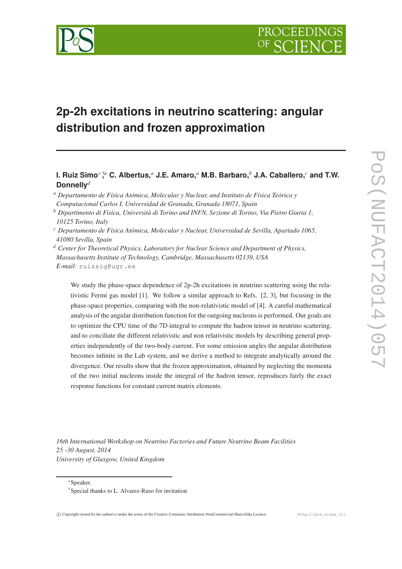

# **2p-2h excitations in neutrino scattering: angular distribution and frozen approximation**

**I. Ruiz Simo**<sup>∗</sup> † **,** *<sup>a</sup>* **C. Albertus,***<sup>a</sup>* **J.E. Amaro,***<sup>a</sup>* **M.B. Barbaro,***<sup>b</sup>* **J.A. Caballero,***<sup>c</sup>* **and T.W. Donnelly***<sup>d</sup>*

- *<sup>a</sup> Departamento de Física Atómica, Molecular y Nuclear, and Instituto de Física Teórica y Computacional Carlos I, Universidad de Granada, Granada 18071, Spain*
- *<sup>b</sup> Dipartimento di Fisica, Università di Torino and INFN, Sezione di Torino, Via Pietro Giuria 1, 10125 Torino, Italy*
- *<sup>c</sup> Departamento de Física Atómica, Molecular y Nuclear, Universidad de Sevilla, Apartado 1065, 41080 Sevilla, Spain*
- *<sup>d</sup> Center for Theoretical Physics, Laboratory for Nuclear Science and Department of Physics, Massachusetts Institute of Technology, Cambridge, Massachusetts 02139, USA E-mail:* ruizsig@ugr.es

We study the phase-space dependence of 2p-2h excitations in neutrino scattering using the relativistic Fermi gas model [1]. We follow a similar approach to Refs. [2, 3], but focusing in the phase-space properties, comparing with the non-relativistic model of [4]. A careful mathematical analysis of the angular distribution function for the outgoing nucleons is performed. Our goals are to optimize the CPU time of the 7D integral to compute the hadron tensor in neutrino scattering, and to conciliate the different relativistic and non relativistic models by describing general properties independently of the two-body current. For some emission angles the angular distribution becomes infinite in the Lab system, and we derive a method to integrate analytically around the divergence. Our results show that the frozen approximation, obtained by neglecting the momenta of the two initial nucleons inside the integral of the hadron tensor, reproduces fairly the exact response functions for constant current matrix elements.

*16th International Workshop on Neutrino Factories and Future Neutrino Beam Facilities 25 -30 August, 2014 University of Glasgow, United Kingdom*

<sup>∗</sup>Speaker.

<sup>†</sup>Special thanks to L. Alvarez-Ruso for invitation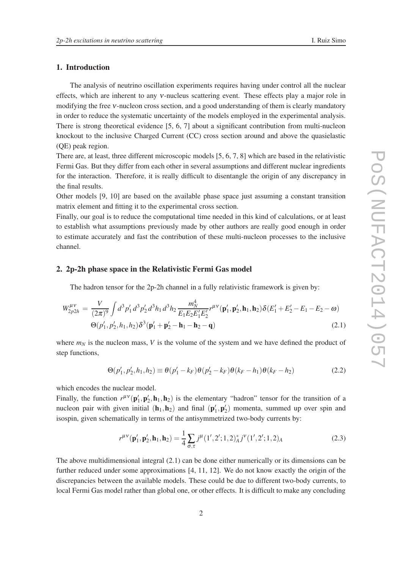## 1. Introduction

The analysis of neutrino oscillation experiments requires having under control all the nuclear effects, which are inherent to any <sup>ν</sup>-nucleus scattering event. These effects play a major role in modifying the free <sup>ν</sup>-nucleon cross section, and a good understanding of them is clearly mandatory in order to reduce the systematic uncertainty of the models employed in the experimental analysis. There is strong theoretical evidence [5, 6, 7] about a significant contribution from multi-nucleon knockout to the inclusive Charged Current (CC) cross section around and above the quasielastic (QE) peak region.

There are, at least, three different microscopic models [5, 6, 7, 8] which are based in the relativistic Fermi Gas. But they differ from each other in several assumptions and different nuclear ingredients for the interaction. Therefore, it is really difficult to disentangle the origin of any discrepancy in the final results.

Other models [9, 10] are based on the available phase space just assuming a constant transition matrix element and fitting it to the experimental cross section.

Finally, our goal is to reduce the computational time needed in this kind of calculations, or at least to establish what assumptions previously made by other authors are really good enough in order to estimate accurately and fast the contribution of these multi-nucleon processes to the inclusive channel.

## 2. 2p-2h phase space in the Relativistic Fermi Gas model

The hadron tensor for the 2p-2h channel in a fully relativistic framework is given by:

$$
W_{2p2h}^{\mu\nu} = \frac{V}{(2\pi)^9} \int d^3 p'_1 d^3 p'_2 d^3 h_1 d^3 h_2 \frac{m_N^4}{E_1 E_2 E'_1 E'_2} r^{\mu\nu}(\mathbf{p}'_1, \mathbf{p}'_2, \mathbf{h}_1, \mathbf{h}_2) \delta(E'_1 + E'_2 - E_1 - E_2 - \omega)
$$
  
 
$$
\Theta(p'_1, p'_2, h_1, h_2) \delta^3(\mathbf{p}'_1 + \mathbf{p}'_2 - \mathbf{h}_1 - \mathbf{h}_2 - \mathbf{q})
$$
 (2.1)

where  $m_N$  is the nucleon mass, V is the volume of the system and we have defined the product of step functions,

$$
\Theta(p'_1, p'_2, h_1, h_2) \equiv \theta(p'_1 - k_F)\theta(p'_2 - k_F)\theta(k_F - h_1)\theta(k_F - h_2)
$$
\n(2.2)

which encodes the nuclear model.

Finally, the function  $r^{\mu\nu}(\mathbf{p}'_1, \mathbf{p}'_2, \mathbf{h}_1, \mathbf{h}_2)$  is the elementary "hadron" tensor for the transition of a nucleon pair with given initial  $(h_1, h_2)$  and final  $(p'_1, p'_2)$  momenta, summed up over spin and isospin, given schematically in terms of the antisymmetrized two-body currents by:

$$
r^{\mu\nu}(\mathbf{p}'_1, \mathbf{p}'_2, \mathbf{h}_1, \mathbf{h}_2) = \frac{1}{4} \sum_{\sigma, \tau} j^{\mu} (1', 2'; 1, 2)^*_{A} j^{\nu} (1', 2'; 1, 2)_{A}
$$
(2.3)

The above multidimensional integral (2.1) can be done either numerically or its dimensions can be further reduced under some approximations [4, 11, 12]. We do not know exactly the origin of the discrepancies between the available models. These could be due to different two-body currents, to local Fermi Gas model rather than global one, or other effects. It is difficult to make any concluding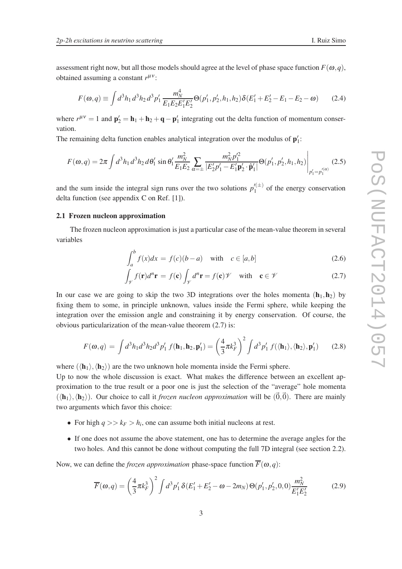assessment right now, but all those models should agree at the level of phase space function  $F(\omega, q)$ , obtained assuming a constant  $r^{\mu\nu}$ :

$$
F(\omega, q) \equiv \int d^3h_1 d^3h_2 d^3p'_1 \frac{m_N^4}{E_1 E_2 E'_1 E'_2} \Theta(p'_1, p'_2, h_1, h_2) \delta(E'_1 + E'_2 - E_1 - E_2 - \omega)
$$
 (2.4)

where  $r^{\mu\nu} = 1$  and  ${\bf p}'_2 = {\bf h}_1 + {\bf h}_2 + {\bf q} - {\bf p}'_1$  integrating out the delta function of momentum conservation.

The remaining delta function enables analytical integration over the modulus of  $p'_1$ :

$$
F(\omega, q) = 2\pi \int d^3h_1 d^3h_2 d\theta'_1 \sin \theta'_1 \frac{m_N^2}{E_1 E_2} \sum_{\alpha = \pm} \frac{m_N^2 p_1'^2}{|E_2' p_1' - E_1' \mathbf{p}_2' \cdot \hat{\mathbf{p}}'_1|} \Theta(p_1', p_2', h_1, h_2) \Bigg|_{p_1' = p_1'^{(\alpha)}} \tag{2.5}
$$

and the sum inside the integral sign runs over the two solutions  $p_1^{(l)}$  $\binom{1}{1}$  of the energy conservation delta function (see appendix C on Ref. [1]).

#### 2.1 Frozen nucleon approximation

The frozen nucleon approximation is just a particular case of the mean-value theorem in several variables

$$
\int_{a}^{b} f(x)dx = f(c)(b-a) \quad \text{with} \quad c \in [a,b]
$$
\n(2.6)

$$
\int_{\mathcal{V}} f(\mathbf{r}) d^n \mathbf{r} = f(\mathbf{c}) \int_{\mathcal{V}} d^n \mathbf{r} = f(\mathbf{c}) \mathcal{V} \quad \text{with} \quad \mathbf{c} \in \mathcal{V} \tag{2.7}
$$

In our case we are going to skip the two 3D integrations over the holes momenta  $(h_1,h_2)$  by fixing them to some, in principle unknown, values inside the Fermi sphere, while keeping the integration over the emission angle and constraining it by energy conservation. Of course, the obvious particularization of the mean-value theorem (2.7) is:

$$
F(\omega, q) = \int d^3 h_1 d^3 h_2 d^3 p'_1 f(\mathbf{h}_1, \mathbf{h}_2, \mathbf{p}'_1) = \left(\frac{4}{3} \pi k_F^3\right)^2 \int d^3 p'_1 f(\langle \mathbf{h}_1 \rangle, \langle \mathbf{h}_2 \rangle, \mathbf{p}'_1) \tag{2.8}
$$

where  $(\langle \mathbf{h}_1 \rangle, \langle \mathbf{h}_2 \rangle)$  are the two unknown hole momenta inside the Fermi sphere.

Up to now the whole discussion is exact. What makes the difference between an excellent approximation to the true result or a poor one is just the selection of the "average" hole momenta  $(\langle h_1 \rangle, \langle h_2 \rangle)$ . Our choice to call it *frozen nucleon approximation* will be  $(\vec{0}, \vec{0})$ . There are mainly two arguments which favor this choice:

- For high  $q \gg k_F > h_i$ , one can assume both initial nucleons at rest.
- If one does not assume the above statement, one has to determine the average angles for the two holes. And this cannot be done without computing the full 7D integral (see section 2.2).

Now, we can define the *frozen approximation* phase-space function  $\overline{F}(\omega, q)$ :

$$
\overline{F}(\omega, q) = \left(\frac{4}{3}\pi k_F^3\right)^2 \int d^3p'_1 \,\delta(E'_1 + E'_2 - \omega - 2m_N) \Theta(p'_1, p'_2, 0, 0) \frac{m_N^2}{E'_1 E'_2} \tag{2.9}
$$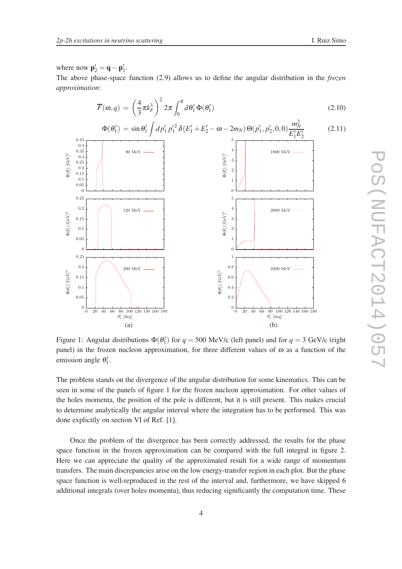where now  $\mathbf{p}'_2 = \mathbf{q} - \mathbf{p}'_1$ .

The above phase-space function (2.9) allows us to define the angular distribution in the *frozen approximation*:

$$
\overline{F}(\omega, q) = \left(\frac{4}{3}\pi k_F^3\right)^2 2\pi \int_0^{\pi} d\theta_1' \Phi(\theta_1')
$$
\n(2.10)

$$
\Phi(\theta_1') = \sin \theta_1' \int dp_1' p_1'^2 \, \delta(E_1' + E_2' - \omega - 2m_N) \, \Theta(p_1', p_2', 0, 0) \frac{m_N^2}{E_1'E_2'} \tag{2.11}
$$



Figure 1: Angular distributions  $\Phi(\theta_1')$  for  $q = 500$  MeV/c (left panel) and for  $q = 3$  GeV/c (right panel) in the frozen nucleon approximation, for three different values of  $\omega$  as a function of the emission angle  $\theta_1'$ .

The problem stands on the divergence of the angular distribution for some kinematics. This can be seen in some of the panels of figure 1 for the frozen nucleon approximation. For other values of the holes momenta, the position of the pole is different, but it is still present. This makes crucial to determine analytically the angular interval where the integration has to be performed. This was done explicitly on section VI of Ref. [1].

Once the problem of the divergence has been correctly addressed, the results for the phase space function in the frozen approximation can be compared with the full integral in figure 2. Here we can appreciate the quality of the approximated result for a wide range of momentum transfers. The main discrepancies arise on the low energy-transfer region in each plot. But the phase space function is well-reproduced in the rest of the interval and, furthermore, we have skipped 6 additional integrals (over holes momenta), thus reducing significantly the computation time. These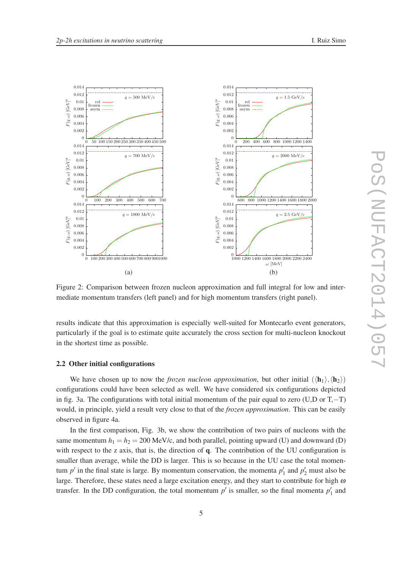

Figure 2: Comparison between frozen nucleon approximation and full integral for low and intermediate momentum transfers (left panel) and for high momentum transfers (right panel).

results indicate that this approximation is especially well-suited for Montecarlo event generators, particularly if the goal is to estimate quite accurately the cross section for multi-nucleon knockout in the shortest time as possible.

#### 2.2 Other initial configurations

We have chosen up to now the *frozen nucleon approximation*, but other initial  $(\langle \mathbf{h}_1 \rangle, \langle \mathbf{h}_2 \rangle)$ configurations could have been selected as well. We have considered six configurations depicted in fig. 3a. The configurations with total initial momentum of the pair equal to zero (U,D or T,−T) would, in principle, yield a result very close to that of the *frozen approximation*. This can be easily observed in figure 4a.

In the first comparison, Fig. 3b, we show the contribution of two pairs of nucleons with the same momentum  $h_1 = h_2 = 200$  MeV/c, and both parallel, pointing upward (U) and downward (D) with respect to the z axis, that is, the direction of q. The contribution of the UU configuration is smaller than average, while the DD is larger. This is so because in the UU case the total momentum  $p'$  in the final state is large. By momentum conservation, the momenta  $p'_1$  and  $p'_2$  must also be large. Therefore, these states need a large excitation energy, and they start to contribute for high  $\omega$ transfer. In the DD configuration, the total momentum  $p'$  is smaller, so the final momenta  $p'_1$  and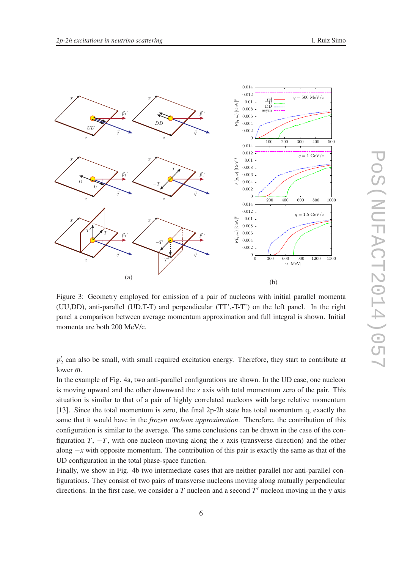

Figure 3: Geometry employed for emission of a pair of nucleons with initial parallel momenta (UU,DD), anti-parallel (UD,T-T) and perpendicular (TT',-T-T') on the left panel. In the right panel a comparison between average momentum approximation and full integral is shown. Initial momenta are both 200 MeV/c.

 $p'_2$  can also be small, with small required excitation energy. Therefore, they start to contribute at lower <sup>ω</sup>.

In the example of Fig. 4a, two anti-parallel configurations are shown. In the UD case, one nucleon is moving upward and the other downward the z axis with total momentum zero of the pair. This situation is similar to that of a pair of highly correlated nucleons with large relative momentum [13]. Since the total momentum is zero, the final 2p-2h state has total momentum q, exactly the same that it would have in the *frozen nucleon approximation*. Therefore, the contribution of this configuration is similar to the average. The same conclusions can be drawn in the case of the configuration *T*,  $-T$ , with one nucleon moving along the *x* axis (transverse direction) and the other along −*x* with opposite momentum. The contribution of this pair is exactly the same as that of the UD configuration in the total phase-space function.

Finally, we show in Fig. 4b two intermediate cases that are neither parallel nor anti-parallel configurations. They consist of two pairs of transverse nucleons moving along mutually perpendicular directions. In the first case, we consider a *T* nucleon and a second *T* ′ nucleon moving in the y axis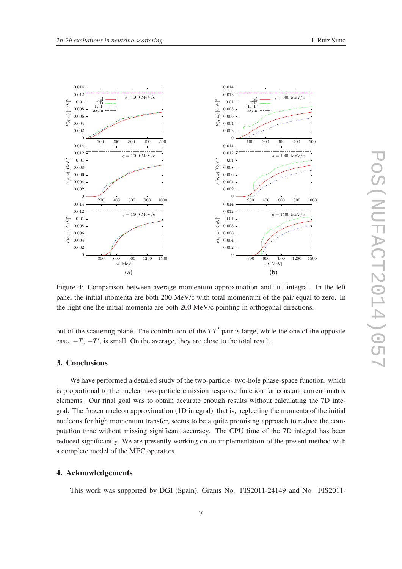

Figure 4: Comparison between average momentum approximation and full integral. In the left panel the initial momenta are both 200 MeV/c with total momentum of the pair equal to zero. In the right one the initial momenta are both 200 MeV/c pointing in orthogonal directions.

out of the scattering plane. The contribution of the *T T*′ pair is large, while the one of the opposite case,  $-T$ ,  $-T'$ , is small. On the average, they are close to the total result.

# 3. Conclusions

We have performed a detailed study of the two-particle- two-hole phase-space function, which is proportional to the nuclear two-particle emission response function for constant current matrix elements. Our final goal was to obtain accurate enough results without calculating the 7D integral. The frozen nucleon approximation (1D integral), that is, neglecting the momenta of the initial nucleons for high momentum transfer, seems to be a quite promising approach to reduce the computation time without missing significant accuracy. The CPU time of the 7D integral has been reduced significantly. We are presently working on an implementation of the present method with a complete model of the MEC operators.

# 4. Acknowledgements

This work was supported by DGI (Spain), Grants No. FIS2011-24149 and No. FIS2011-